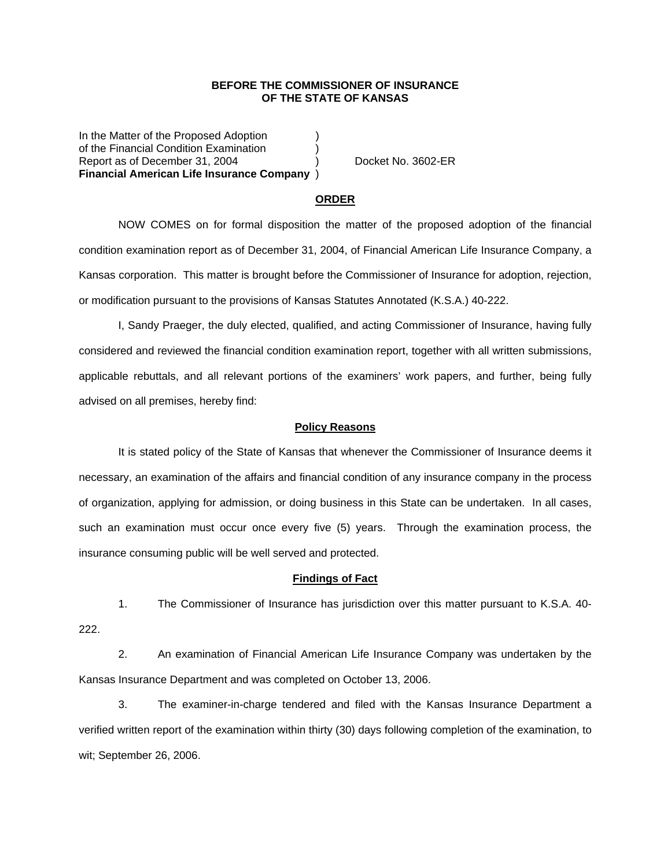### **BEFORE THE COMMISSIONER OF INSURANCE OF THE STATE OF KANSAS**

In the Matter of the Proposed Adoption of the Financial Condition Examination ) Report as of December 31, 2004 (a) Docket No. 3602-ER **Financial American Life Insurance Company** )

#### **ORDER**

 NOW COMES on for formal disposition the matter of the proposed adoption of the financial condition examination report as of December 31, 2004, of Financial American Life Insurance Company, a Kansas corporation. This matter is brought before the Commissioner of Insurance for adoption, rejection, or modification pursuant to the provisions of Kansas Statutes Annotated (K.S.A.) 40-222.

 I, Sandy Praeger, the duly elected, qualified, and acting Commissioner of Insurance, having fully considered and reviewed the financial condition examination report, together with all written submissions, applicable rebuttals, and all relevant portions of the examiners' work papers, and further, being fully advised on all premises, hereby find:

#### **Policy Reasons**

 It is stated policy of the State of Kansas that whenever the Commissioner of Insurance deems it necessary, an examination of the affairs and financial condition of any insurance company in the process of organization, applying for admission, or doing business in this State can be undertaken. In all cases, such an examination must occur once every five (5) years. Through the examination process, the insurance consuming public will be well served and protected.

#### **Findings of Fact**

 1. The Commissioner of Insurance has jurisdiction over this matter pursuant to K.S.A. 40- 222.

 2. An examination of Financial American Life Insurance Company was undertaken by the Kansas Insurance Department and was completed on October 13, 2006.

 3. The examiner-in-charge tendered and filed with the Kansas Insurance Department a verified written report of the examination within thirty (30) days following completion of the examination, to wit; September 26, 2006.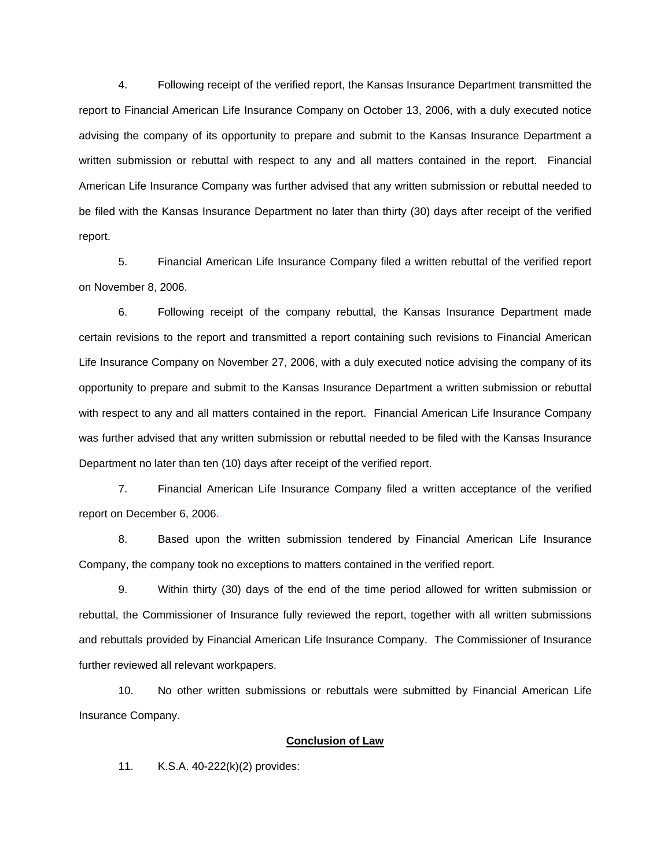4. Following receipt of the verified report, the Kansas Insurance Department transmitted the report to Financial American Life Insurance Company on October 13, 2006, with a duly executed notice advising the company of its opportunity to prepare and submit to the Kansas Insurance Department a written submission or rebuttal with respect to any and all matters contained in the report. Financial American Life Insurance Company was further advised that any written submission or rebuttal needed to be filed with the Kansas Insurance Department no later than thirty (30) days after receipt of the verified report.

 5. Financial American Life Insurance Company filed a written rebuttal of the verified report on November 8, 2006.

 6. Following receipt of the company rebuttal, the Kansas Insurance Department made certain revisions to the report and transmitted a report containing such revisions to Financial American Life Insurance Company on November 27, 2006, with a duly executed notice advising the company of its opportunity to prepare and submit to the Kansas Insurance Department a written submission or rebuttal with respect to any and all matters contained in the report. Financial American Life Insurance Company was further advised that any written submission or rebuttal needed to be filed with the Kansas Insurance Department no later than ten (10) days after receipt of the verified report.

 7. Financial American Life Insurance Company filed a written acceptance of the verified report on December 6, 2006.

8. Based upon the written submission tendered by Financial American Life Insurance Company, the company took no exceptions to matters contained in the verified report.

 9. Within thirty (30) days of the end of the time period allowed for written submission or rebuttal, the Commissioner of Insurance fully reviewed the report, together with all written submissions and rebuttals provided by Financial American Life Insurance Company. The Commissioner of Insurance further reviewed all relevant workpapers.

 10. No other written submissions or rebuttals were submitted by Financial American Life Insurance Company.

## **Conclusion of Law**

11. K.S.A. 40-222(k)(2) provides: